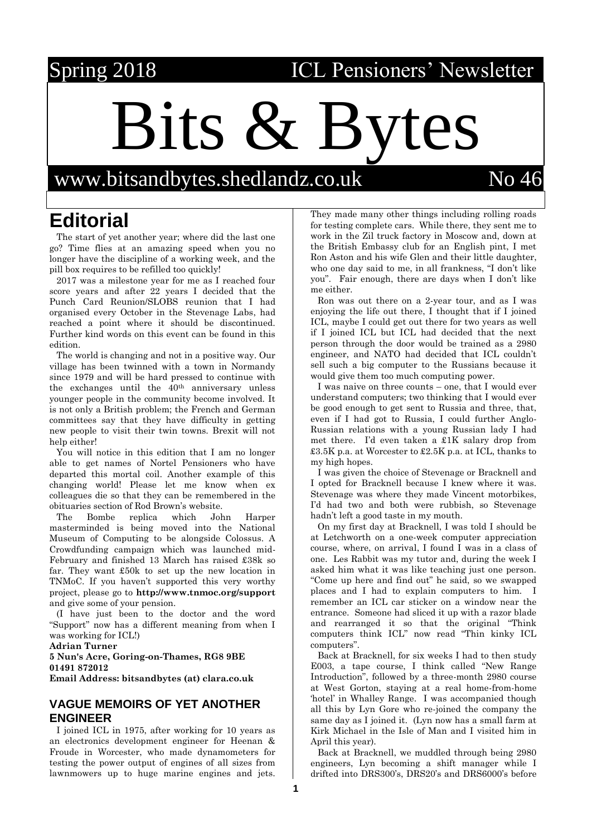# Spring 2018 **ICL Pensioners' Newsletter**

 $\mathsf{Bits}$ 

[www.bitsandbytes.shedlandz.co.uk](http://www.bitsandbytes.shedlandz.co.uk/) No 46

# **Editorial**

The start of yet another year; where did the last one go? Time flies at an amazing speed when you no longer have the discipline of a working week, and the pill box requires to be refilled too quickly!

2017 was a milestone year for me as I reached four score years and after 22 years I decided that the Punch Card Reunion/SLOBS reunion that I had organised every October in the Stevenage Labs, had reached a point where it should be discontinued. Further kind words on this event can be found in this edition.

The world is changing and not in a positive way. Our village has been twinned with a town in Normandy since 1979 and will be hard pressed to continue with the exchanges until the  $40<sup>th</sup>$  anniversary unless younger people in the community become involved. It is not only a British problem; the French and German committees say that they have difficulty in getting new people to visit their twin towns. Brexit will not help either!

You will notice in this edition that I am no longer able to get names of Nortel Pensioners who have departed this mortal coil. Another example of this changing world! Please let me know when ex colleagues die so that they can be remembered in the obituaries section of Rod Brown's website.

The Bombe replica which John Harper masterminded is being moved into the National Museum of Computing to be alongside Colossus. A Crowdfunding campaign which was launched mid-February and finished 13 March has raised £38k so far. They want £50k to set up the new location in TNMoC. If you haven't supported this very worthy project, please go to **<http://www.tnmoc.org/support>** and give some of your pension.

(I have just been to the doctor and the word "Support" now has a different meaning from when I was working for ICL!)

**Adrian Turner**

**5 Nun's Acre, Goring-on-Thames, RG8 9BE 01491 872012**

**Email Address: bitsandbytes (at) clara.co.uk**

### **VAGUE MEMOIRS OF YET ANOTHER ENGINEER**

I joined ICL in 1975, after working for 10 years as an electronics development engineer for Heenan & Froude in Worcester, who made dynamometers for testing the power output of engines of all sizes from lawnmowers up to huge marine engines and jets.

They made many other things including rolling roads for testing complete cars. While there, they sent me to work in the Zil truck factory in Moscow and, down at the British Embassy club for an English pint, I met Ron Aston and his wife Glen and their little daughter, who one day said to me, in all frankness, "I don't like you". Fair enough, there are days when I don't like me either.

Ron was out there on a 2-year tour, and as I was enjoying the life out there, I thought that if I joined ICL, maybe I could get out there for two years as well if I joined ICL but ICL had decided that the next person through the door would be trained as a 2980 engineer, and NATO had decided that ICL couldn't sell such a big computer to the Russians because it would give them too much computing power.

I was naive on three counts – one, that I would ever understand computers; two thinking that I would ever be good enough to get sent to Russia and three, that, even if I had got to Russia, I could further Anglo-Russian relations with a young Russian lady I had met there. I'd even taken a £1K salary drop from £3.5K p.a. at Worcester to £2.5K p.a. at ICL, thanks to my high hopes.

I was given the choice of Stevenage or Bracknell and I opted for Bracknell because I knew where it was. Stevenage was where they made Vincent motorbikes, I'd had two and both were rubbish, so Stevenage hadn't left a good taste in my mouth.

On my first day at Bracknell, I was told I should be at Letchworth on a one-week computer appreciation course, where, on arrival, I found I was in a class of one. Les Rabbit was my tutor and, during the week I asked him what it was like teaching just one person. "Come up here and find out" he said, so we swapped places and I had to explain computers to him. I remember an ICL car sticker on a window near the entrance. Someone had sliced it up with a razor blade and rearranged it so that the original "Think computers think ICL" now read "Thin kinky ICL computers".

Back at Bracknell, for six weeks I had to then study E003, a tape course, I think called "New Range Introduction", followed by a three-month 2980 course at West Gorton, staying at a real home-from-home 'hotel' in Whalley Range. I was accompanied though all this by Lyn Gore who re-joined the company the same day as I joined it. (Lyn now has a small farm at Kirk Michael in the Isle of Man and I visited him in April this year).

Back at Bracknell, we muddled through being 2980 engineers, Lyn becoming a shift manager while I drifted into DRS300's, DRS20's and DRS6000's before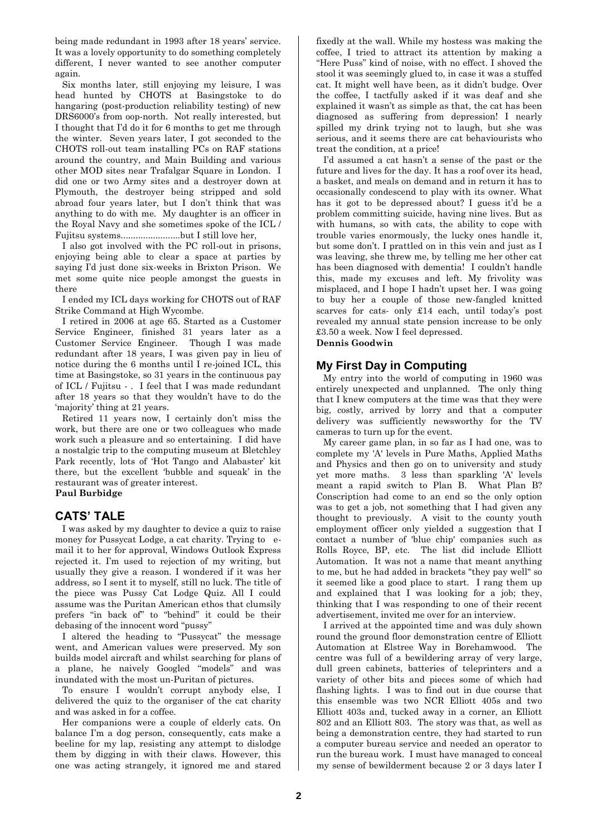being made redundant in 1993 after 18 years' service. It was a lovely opportunity to do something completely different, I never wanted to see another computer again.

Six months later, still enjoying my leisure, I was head hunted by CHOTS at Basingstoke to do hangaring (post-production reliability testing) of new DRS6000's from oop-north. Not really interested, but I thought that I'd do it for 6 months to get me through the winter. Seven years later, I got seconded to the CHOTS roll-out team installing PCs on RAF stations around the country, and Main Building and various other MOD sites near Trafalgar Square in London. I did one or two Army sites and a destroyer down at Plymouth, the destroyer being stripped and sold abroad four years later, but I don't think that was anything to do with me. My daughter is an officer in the Royal Navy and she sometimes spoke of the ICL / Fujitsu systems........................but I still love her,

I also got involved with the PC roll-out in prisons, enjoying being able to clear a space at parties by saying I'd just done six-weeks in Brixton Prison. We met some quite nice people amongst the guests in there

I ended my ICL days working for CHOTS out of RAF Strike Command at High Wycombe.

I retired in 2006 at age 65. Started as a Customer Service Engineer, finished 31 years later as a Customer Service Engineer. Though I was made redundant after 18 years, I was given pay in lieu of notice during the 6 months until I re-joined ICL, this time at Basingstoke, so 31 years in the continuous pay of ICL / Fujitsu - . I feel that I was made redundant after 18 years so that they wouldn't have to do the 'majority' thing at 21 years.

Retired 11 years now, I certainly don't miss the work, but there are one or two colleagues who made work such a pleasure and so entertaining. I did have a nostalgic trip to the computing museum at Bletchley Park recently, lots of 'Hot Tango and Alabaster' kit there, but the excellent 'bubble and squeak' in the restaurant was of greater interest. **Paul Burbidge**

# **CATS' TALE**

I was asked by my daughter to device a quiz to raise money for Pussycat Lodge, a cat charity. Trying to email it to her for approval, Windows Outlook Express rejected it. I'm used to rejection of my writing, but usually they give a reason. I wondered if it was her address, so I sent it to myself, still no luck. The title of the piece was Pussy Cat Lodge Quiz. All I could assume was the Puritan American ethos that clumsily prefers "in back of" to "behind" it could be their debasing of the innocent word "pussy"

I altered the heading to "Pussycat" the message went, and American values were preserved. My son builds model aircraft and whilst searching for plans of a plane, he naively Googled "models" and was inundated with the most un-Puritan of pictures.

To ensure I wouldn't corrupt anybody else, I delivered the quiz to the organiser of the cat charity and was asked in for a coffee.

Her companions were a couple of elderly cats. On balance I'm a dog person, consequently, cats make a beeline for my lap, resisting any attempt to dislodge them by digging in with their claws. However, this one was acting strangely, it ignored me and stared fixedly at the wall. While my hostess was making the coffee, I tried to attract its attention by making a "Here Puss" kind of noise, with no effect. I shoved the stool it was seemingly glued to, in case it was a stuffed cat. It might well have been, as it didn't budge. Over the coffee, I tactfully asked if it was deaf and she explained it wasn't as simple as that, the cat has been diagnosed as suffering from depression! I nearly spilled my drink trying not to laugh, but she was serious, and it seems there are cat behaviourists who treat the condition, at a price!

I'd assumed a cat hasn't a sense of the past or the future and lives for the day. It has a roof over its head, a basket, and meals on demand and in return it has to occasionally condescend to play with its owner. What has it got to be depressed about? I guess it'd be a problem committing suicide, having nine lives. But as with humans, so with cats, the ability to cope with trouble varies enormously, the lucky ones handle it, but some don't. I prattled on in this vein and just as I was leaving, she threw me, by telling me her other cat has been diagnosed with dementia! I couldn't handle this, made my excuses and left. My frivolity was misplaced, and I hope I hadn't upset her. I was going to buy her a couple of those new-fangled knitted scarves for cats- only £14 each, until today's post revealed my annual state pension increase to be only £3.50 a week. Now I feel depressed. **Dennis Goodwin**

# **My First Day in Computing**

My entry into the world of computing in 1960 was entirely unexpected and unplanned. The only thing that I knew computers at the time was that they were big, costly, arrived by lorry and that a computer delivery was sufficiently newsworthy for the TV cameras to turn up for the event.

My career game plan, in so far as I had one, was to complete my 'A' levels in Pure Maths, Applied Maths and Physics and then go on to university and study yet more maths. 3 less than sparkling 'A' levels meant a rapid switch to Plan B. What Plan B? Conscription had come to an end so the only option was to get a job, not something that I had given any thought to previously. A visit to the county youth employment officer only yielded a suggestion that I contact a number of 'blue chip' companies such as Rolls Royce, BP, etc. The list did include Elliott Automation. It was not a name that meant anything to me, but he had added in brackets "they pay well" so it seemed like a good place to start. I rang them up and explained that I was looking for a job; they, thinking that I was responding to one of their recent advertisement, invited me over for an interview.

I arrived at the appointed time and was duly shown round the ground floor demonstration centre of Elliott Automation at Elstree Way in Borehamwood. The centre was full of a bewildering array of very large, dull green cabinets, batteries of teleprinters and a variety of other bits and pieces some of which had flashing lights. I was to find out in due course that this ensemble was two NCR Elliott 405s and two Elliott 403s and, tucked away in a corner, an Elliott 802 and an Elliott 803. The story was that, as well as being a demonstration centre, they had started to run a computer bureau service and needed an operator to run the bureau work. I must have managed to conceal my sense of bewilderment because 2 or 3 days later I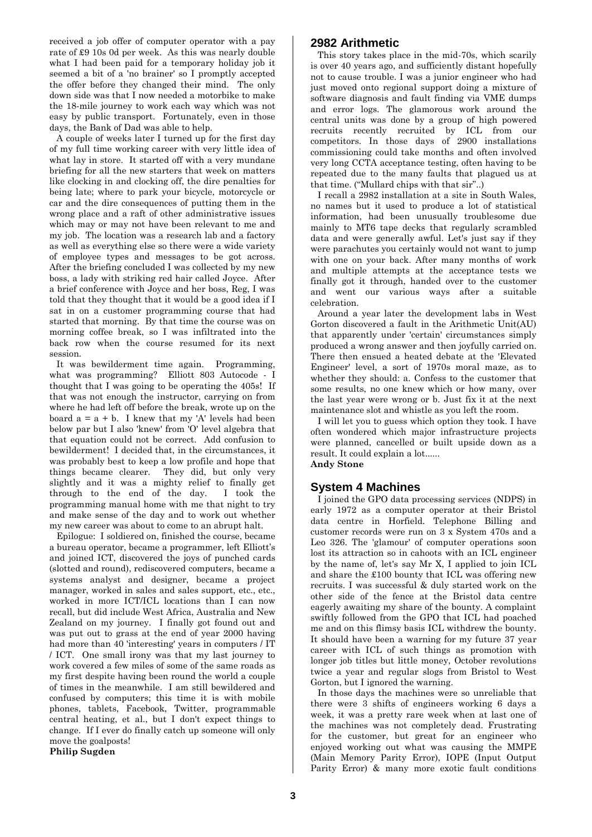received a job offer of computer operator with a pay rate of £9 10s 0d per week. As this was nearly double what I had been paid for a temporary holiday job it seemed a bit of a 'no brainer' so I promptly accepted the offer before they changed their mind. The only down side was that I now needed a motorbike to make the 18-mile journey to work each way which was not easy by public transport. Fortunately, even in those days, the Bank of Dad was able to help.

A couple of weeks later I turned up for the first day of my full time working career with very little idea of what lay in store. It started off with a very mundane briefing for all the new starters that week on matters like clocking in and clocking off, the dire penalties for being late; where to park your bicycle, motorcycle or car and the dire consequences of putting them in the wrong place and a raft of other administrative issues which may or may not have been relevant to me and my job. The location was a research lab and a factory as well as everything else so there were a wide variety of employee types and messages to be got across. After the briefing concluded I was collected by my new boss, a lady with striking red hair called Joyce. After a brief conference with Joyce and her boss, Reg, I was told that they thought that it would be a good idea if I sat in on a customer programming course that had started that morning. By that time the course was on morning coffee break, so I was infiltrated into the back row when the course resumed for its next session.

It was bewilderment time again. Programming, what was programming? Elliott 803 Autocode - I thought that I was going to be operating the 405s! If that was not enough the instructor, carrying on from where he had left off before the break, wrote up on the board  $a = a + b$ . I knew that my 'A' levels had been below par but I also 'knew' from 'O' level algebra that that equation could not be correct. Add confusion to bewilderment! I decided that, in the circumstances, it was probably best to keep a low profile and hope that things became clearer. They did, but only very slightly and it was a mighty relief to finally get through to the end of the day. I took the programming manual home with me that night to try and make sense of the day and to work out whether my new career was about to come to an abrupt halt.

Epilogue: I soldiered on, finished the course, became a bureau operator, became a programmer, left Elliott's and joined ICT, discovered the joys of punched cards (slotted and round), rediscovered computers, became a systems analyst and designer, became a project manager, worked in sales and sales support, etc., etc., worked in more ICT/ICL locations than I can now recall, but did include West Africa, Australia and New Zealand on my journey. I finally got found out and was put out to grass at the end of year 2000 having had more than 40 'interesting' years in computers / IT / ICT. One small irony was that my last journey to work covered a few miles of some of the same roads as my first despite having been round the world a couple of times in the meanwhile. I am still bewildered and confused by computers; this time it is with mobile phones, tablets, Facebook, Twitter, programmable central heating, et al., but I don't expect things to change. If I ever do finally catch up someone will only move the goalposts!

**Philip Sugden**

#### **2982 Arithmetic**

This story takes place in the mid-70s, which scarily is over 40 years ago, and sufficiently distant hopefully not to cause trouble. I was a junior engineer who had just moved onto regional support doing a mixture of software diagnosis and fault finding via VME dumps and error logs. The glamorous work around the central units was done by a group of high powered recruits recently recruited by ICL from our competitors. In those days of 2900 installations commissioning could take months and often involved very long CCTA acceptance testing, often having to be repeated due to the many faults that plagued us at that time. ("Mullard chips with that sir"..)

I recall a 2982 installation at a site in South Wales, no names but it used to produce a lot of statistical information, had been unusually troublesome due mainly to MT6 tape decks that regularly scrambled data and were generally awful. Let's just say if they were parachutes you certainly would not want to jump with one on your back. After many months of work and multiple attempts at the acceptance tests we finally got it through, handed over to the customer and went our various ways after a suitable celebration.

Around a year later the development labs in West Gorton discovered a fault in the Arithmetic Unit(AU) that apparently under 'certain' circumstances simply produced a wrong answer and then joyfully carried on. There then ensued a heated debate at the 'Elevated Engineer' level, a sort of 1970s moral maze, as to whether they should: a. Confess to the customer that some results, no one knew which or how many, over the last year were wrong or b. Just fix it at the next maintenance slot and whistle as you left the room.

I will let you to guess which option they took. I have often wondered which major infrastructure projects were planned, cancelled or built upside down as a result. It could explain a lot......

# **Andy Stone**

#### **System 4 Machines**

I joined the GPO data processing services (NDPS) in early 1972 as a computer operator at their Bristol data centre in Horfield. Telephone Billing and customer records were run on 3 x System 470s and a Leo 326. The 'glamour' of computer operations soon lost its attraction so in cahoots with an ICL engineer by the name of, let's say Mr X, I applied to join ICL and share the £100 bounty that ICL was offering new recruits. I was successful & duly started work on the other side of the fence at the Bristol data centre eagerly awaiting my share of the bounty. A complaint swiftly followed from the GPO that ICL had poached me and on this flimsy basis ICL withdrew the bounty. It should have been a warning for my future 37 year career with ICL of such things as promotion with longer job titles but little money, October revolutions twice a year and regular slogs from Bristol to West Gorton, but I ignored the warning.

In those days the machines were so unreliable that there were 3 shifts of engineers working 6 days a week, it was a pretty rare week when at last one of the machines was not completely dead. Frustrating for the customer, but great for an engineer who enjoyed working out what was causing the MMPE (Main Memory Parity Error), IOPE (Input Output Parity Error) & many more exotic fault conditions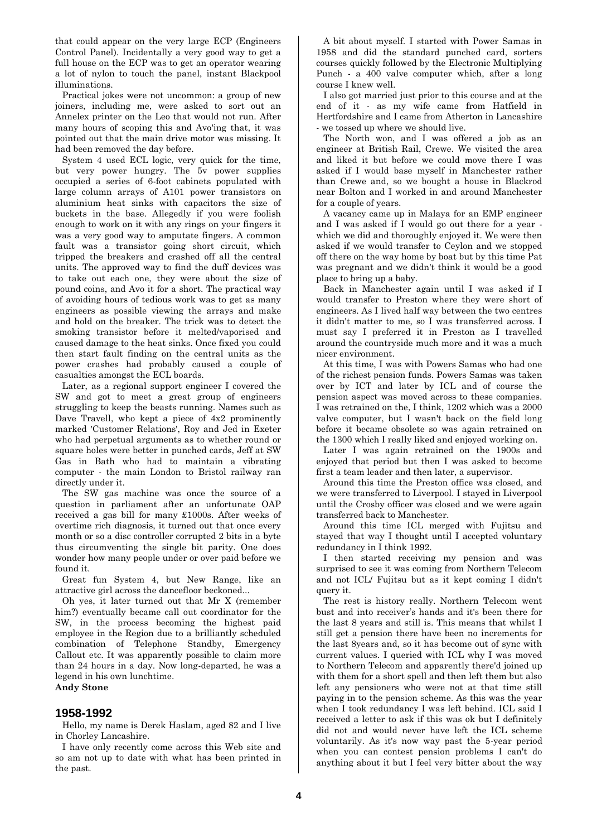that could appear on the very large ECP (Engineers Control Panel). Incidentally a very good way to get a full house on the ECP was to get an operator wearing a lot of nylon to touch the panel, instant Blackpool illuminations.

Practical jokes were not uncommon: a group of new joiners, including me, were asked to sort out an Annelex printer on the Leo that would not run. After many hours of scoping this and Avo'ing that, it was pointed out that the main drive motor was missing. It had been removed the day before.

System 4 used ECL logic, very quick for the time, but very power hungry. The 5v power supplies occupied a series of 6-foot cabinets populated with large column arrays of A101 power transistors on aluminium heat sinks with capacitors the size of buckets in the base. Allegedly if you were foolish enough to work on it with any rings on your fingers it was a very good way to amputate fingers. A common fault was a transistor going short circuit, which tripped the breakers and crashed off all the central units. The approved way to find the duff devices was to take out each one, they were about the size of pound coins, and Avo it for a short. The practical way of avoiding hours of tedious work was to get as many engineers as possible viewing the arrays and make and hold on the breaker. The trick was to detect the smoking transistor before it melted/vaporised and caused damage to the heat sinks. Once fixed you could then start fault finding on the central units as the power crashes had probably caused a couple of casualties amongst the ECL boards.

Later, as a regional support engineer I covered the SW and got to meet a great group of engineers struggling to keep the beasts running. Names such as Dave Travell, who kept a piece of 4x2 prominently marked 'Customer Relations', Roy and Jed in Exeter who had perpetual arguments as to whether round or square holes were better in punched cards, Jeff at SW Gas in Bath who had to maintain a vibrating computer - the main London to Bristol railway ran directly under it.

The SW gas machine was once the source of a question in parliament after an unfortunate OAP received a gas bill for many £1000s. After weeks of overtime rich diagnosis, it turned out that once every month or so a disc controller corrupted 2 bits in a byte thus circumventing the single bit parity. One does wonder how many people under or over paid before we found it.

Great fun System 4, but New Range, like an attractive girl across the dancefloor beckoned...

Oh yes, it later turned out that Mr X (remember him?) eventually became call out coordinator for the SW, in the process becoming the highest paid employee in the Region due to a brilliantly scheduled combination of Telephone Standby, Emergency Callout etc. It was apparently possible to claim more than 24 hours in a day. Now long-departed, he was a legend in his own lunchtime. **Andy Stone**

#### **1958-1992**

Hello, my name is Derek Haslam, aged 82 and I live in Chorley Lancashire.

I have only recently come across this Web site and so am not up to date with what has been printed in the past.

A bit about myself. I started with Power Samas in 1958 and did the standard punched card, sorters courses quickly followed by the Electronic Multiplying Punch - a 400 valve computer which, after a long course I knew well.

I also got married just prior to this course and at the end of it - as my wife came from Hatfield in Hertfordshire and I came from Atherton in Lancashire - we tossed up where we should live.

The North won, and I was offered a job as an engineer at British Rail, Crewe. We visited the area and liked it but before we could move there I was asked if I would base myself in Manchester rather than Crewe and, so we bought a house in Blackrod near Bolton and I worked in and around Manchester for a couple of years.

A vacancy came up in Malaya for an EMP engineer and I was asked if I would go out there for a year which we did and thoroughly enjoyed it. We were then asked if we would transfer to Ceylon and we stopped off there on the way home by boat but by this time Pat was pregnant and we didn't think it would be a good place to bring up a baby.

Back in Manchester again until I was asked if I would transfer to Preston where they were short of engineers. As I lived half way between the two centres it didn't matter to me, so I was transferred across. I must say I preferred it in Preston as I travelled around the countryside much more and it was a much nicer environment.

At this time, I was with Powers Samas who had one of the richest pension funds. Powers Samas was taken over by ICT and later by ICL and of course the pension aspect was moved across to these companies. I was retrained on the, I think, 1202 which was a 2000 valve computer, but I wasn't back on the field long before it became obsolete so was again retrained on the 1300 which I really liked and enjoyed working on.

Later I was again retrained on the 1900s and enjoyed that period but then I was asked to become first a team leader and then later, a supervisor.

Around this time the Preston office was closed, and we were transferred to Liverpool. I stayed in Liverpool until the Crosby officer was closed and we were again transferred back to Manchester.

Around this time ICL merged with Fujitsu and stayed that way I thought until I accepted voluntary redundancy in I think 1992.

I then started receiving my pension and was surprised to see it was coming from Northern Telecom and not ICL/ Fujitsu but as it kept coming I didn't query it.

The rest is history really. Northern Telecom went bust and into receiver's hands and it's been there for the last 8 years and still is. This means that whilst I still get a pension there have been no increments for the last 8years and, so it has become out of sync with current values. I queried with ICL why I was moved to Northern Telecom and apparently there'd joined up with them for a short spell and then left them but also left any pensioners who were not at that time still paying in to the pension scheme. As this was the year when I took redundancy I was left behind. ICL said I received a letter to ask if this was ok but I definitely did not and would never have left the ICL scheme voluntarily. As it's now way past the 5-year period when you can contest pension problems I can't do anything about it but I feel very bitter about the way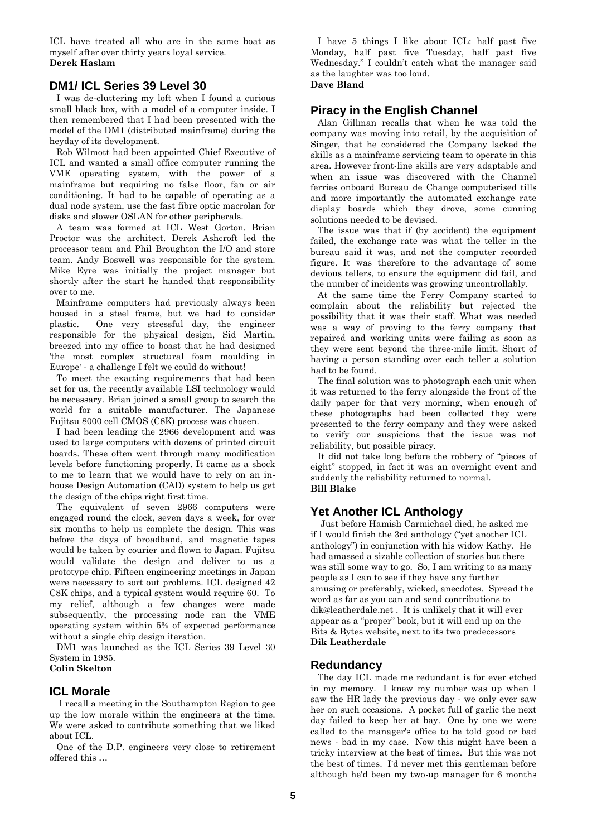ICL have treated all who are in the same boat as myself after over thirty years loyal service. **Derek Haslam**

### **DM1/ ICL Series 39 Level 30**

I was de-cluttering my loft when I found a curious small black box, with a model of a computer inside. I then remembered that I had been presented with the model of the DM1 (distributed mainframe) during the heyday of its development.

Rob Wilmott had been appointed Chief Executive of ICL and wanted a small office computer running the VME operating system, with the power of a mainframe but requiring no false floor, fan or air conditioning. It had to be capable of operating as a dual node system, use the fast fibre optic macrolan for disks and slower OSLAN for other peripherals.

A team was formed at ICL West Gorton. Brian Proctor was the architect. Derek Ashcroft led the processor team and Phil Broughton the I/O and store team. Andy Boswell was responsible for the system. Mike Eyre was initially the project manager but shortly after the start he handed that responsibility over to me.

Mainframe computers had previously always been housed in a steel frame, but we had to consider plastic. One very stressful day, the engineer responsible for the physical design, Sid Martin, breezed into my office to boast that he had designed 'the most complex structural foam moulding in Europe' - a challenge I felt we could do without!

To meet the exacting requirements that had been set for us, the recently available LSI technology would be necessary. Brian joined a small group to search the world for a suitable manufacturer. The Japanese Fujitsu 8000 cell CMOS (C8K) process was chosen.

I had been leading the 2966 development and was used to large computers with dozens of printed circuit boards. These often went through many modification levels before functioning properly. It came as a shock to me to learn that we would have to rely on an inhouse Design Automation (CAD) system to help us get the design of the chips right first time.

The equivalent of seven 2966 computers were engaged round the clock, seven days a week, for over six months to help us complete the design. This was before the days of broadband, and magnetic tapes would be taken by courier and flown to Japan. Fujitsu would validate the design and deliver to us a prototype chip. Fifteen engineering meetings in Japan were necessary to sort out problems. ICL designed 42 C8K chips, and a typical system would require 60. To my relief, although a few changes were made subsequently, the processing node ran the VME operating system within 5% of expected performance without a single chip design iteration.

DM1 was launched as the ICL Series 39 Level 30 System in 1985.

# **Colin Skelton**

# **ICL Morale**

I recall a meeting in the Southampton Region to gee up the low morale within the engineers at the time. We were asked to contribute something that we liked about ICL.

One of the D.P. engineers very close to retirement offered this …

I have 5 things I like about ICL: half past five Monday, half past five Tuesday, half past five Wednesday." I couldn't catch what the manager said as the laughter was too loud. **Dave Bland**

# **Piracy in the English Channel**

Alan Gillman recalls that when he was told the company was moving into retail, by the acquisition of Singer, that he considered the Company lacked the skills as a mainframe servicing team to operate in this area. However front-line skills are very adaptable and when an issue was discovered with the Channel ferries onboard Bureau de Change computerised tills and more importantly the automated exchange rate display boards which they drove, some cunning solutions needed to be devised.

The issue was that if (by accident) the equipment failed, the exchange rate was what the teller in the bureau said it was, and not the computer recorded figure. It was therefore to the advantage of some devious tellers, to ensure the equipment did fail, and the number of incidents was growing uncontrollably.

At the same time the Ferry Company started to complain about the reliability but rejected the possibility that it was their staff. What was needed was a way of proving to the ferry company that repaired and working units were failing as soon as they were sent beyond the three-mile limit. Short of having a person standing over each teller a solution had to be found.

The final solution was to photograph each unit when it was returned to the ferry alongside the front of the daily paper for that very morning, when enough of these photographs had been collected they were presented to the ferry company and they were asked to verify our suspicions that the issue was not reliability, but possible piracy.

It did not take long before the robbery of "pieces of eight" stopped, in fact it was an overnight event and suddenly the reliability returned to normal. **Bill Blake**

# **Yet Another ICL Anthology**

 Just before Hamish Carmichael died, he asked me if I would finish the 3rd anthology ("yet another ICL anthology") in conjunction with his widow Kathy. He had amassed a sizable collection of stories but there was still some way to go. So, I am writing to as many people as I can to see if they have any further amusing or preferably, wicked, anecdotes. Spread the word as far as you can and send contributions to dik@leatherdale.net . It is unlikely that it will ever appear as a "proper" book, but it will end up on the Bits & Bytes website, next to its two predecessors **Dik Leatherdale**

#### **Redundancy**

The day ICL made me redundant is for ever etched in my memory. I knew my number was up when I saw the HR lady the previous day - we only ever saw her on such occasions. A pocket full of garlic the next day failed to keep her at bay. One by one we were called to the manager's office to be told good or bad news - bad in my case. Now this might have been a tricky interview at the best of times. But this was not the best of times. I'd never met this gentleman before although he'd been my two-up manager for 6 months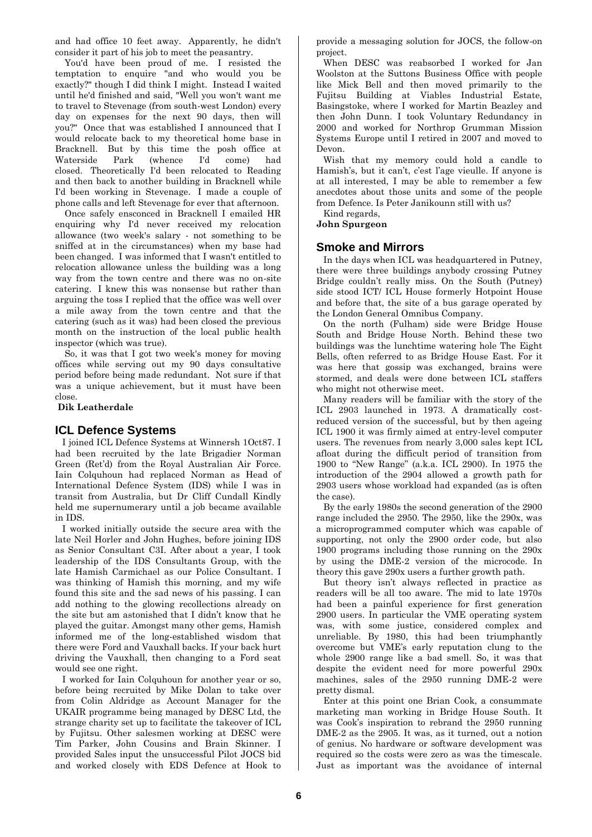and had office 10 feet away. Apparently, he didn't consider it part of his job to meet the peasantry.

You'd have been proud of me. I resisted the temptation to enquire "and who would you be exactly?" though I did think I might. Instead I waited until he'd finished and said, "Well you won't want me to travel to Stevenage (from south-west London) every day on expenses for the next 90 days, then will you?" Once that was established I announced that I would relocate back to my theoretical home base in Bracknell. But by this time the posh office at Waterside Park (whence I'd come) had closed. Theoretically I'd been relocated to Reading and then back to another building in Bracknell while I'd been working in Stevenage. I made a couple of phone calls and left Stevenage for ever that afternoon.

Once safely ensconced in Bracknell I emailed HR enquiring why I'd never received my relocation allowance (two week's salary - not something to be sniffed at in the circumstances) when my base had been changed. I was informed that I wasn't entitled to relocation allowance unless the building was a long way from the town centre and there was no on-site catering. I knew this was nonsense but rather than arguing the toss I replied that the office was well over a mile away from the town centre and that the catering (such as it was) had been closed the previous month on the instruction of the local public health inspector (which was true).

So, it was that I got two week's money for moving offices while serving out my 90 days consultative period before being made redundant. Not sure if that was a unique achievement, but it must have been close.

**Dik Leatherdale**

#### **ICL Defence Systems**

I joined ICL Defence Systems at Winnersh 1Oct87. I had been recruited by the late Brigadier Norman Green (Ret'd) from the Royal Australian Air Force. Iain Colquhoun had replaced Norman as Head of International Defence System (IDS) while I was in transit from Australia, but Dr Cliff Cundall Kindly held me supernumerary until a job became available in IDS.

I worked initially outside the secure area with the late Neil Horler and John Hughes, before joining IDS as Senior Consultant C3I. After about a year, I took leadership of the IDS Consultants Group, with the late Hamish Carmichael as our Police Consultant. I was thinking of Hamish this morning, and my wife found this site and the sad news of his passing. I can add nothing to the glowing recollections already on the site but am astonished that I didn't know that he played the guitar. Amongst many other gems, Hamish informed me of the long-established wisdom that there were Ford and Vauxhall backs. If your back hurt driving the Vauxhall, then changing to a Ford seat would see one right.

I worked for Iain Colquhoun for another year or so, before being recruited by Mike Dolan to take over from Colin Aldridge as Account Manager for the UKAIR programme being managed by DESC Ltd, the strange charity set up to facilitate the takeover of ICL by Fujitsu. Other salesmen working at DESC were Tim Parker, John Cousins and Brain Skinner. I provided Sales input the unsuccessful Pilot JOCS bid and worked closely with EDS Defence at Hook to provide a messaging solution for JOCS, the follow-on project.

When DESC was reabsorbed I worked for Jan Woolston at the Suttons Business Office with people like Mick Bell and then moved primarily to the Fujitsu Building at Viables Industrial Estate, Basingstoke, where I worked for Martin Beazley and then John Dunn. I took Voluntary Redundancy in 2000 and worked for Northrop Grumman Mission Systems Europe until I retired in 2007 and moved to Devon.

Wish that my memory could hold a candle to Hamish's, but it can't, c'est l'age vieulle. If anyone is at all interested, I may be able to remember a few anecdotes about those units and some of the people from Defence. Is Peter Janikounn still with us?

Kind regards,

**John Spurgeon** 

#### **Smoke and Mirrors**

In the days when ICL was headquartered in Putney, there were three buildings anybody crossing Putney Bridge couldn't really miss. On the South (Putney) side stood ICT/ ICL House formerly Hotpoint House and before that, the site of a bus garage operated by the London General Omnibus Company.

On the north (Fulham) side were Bridge House South and Bridge House North. Behind these two buildings was the lunchtime watering hole The Eight Bells, often referred to as Bridge House East. For it was here that gossip was exchanged, brains were stormed, and deals were done between ICL staffers who might not otherwise meet.

Many readers will be familiar with the story of the ICL 2903 launched in 1973. A dramatically costreduced version of the successful, but by then ageing ICL 1900 it was firmly aimed at entry-level computer users. The revenues from nearly 3,000 sales kept ICL afloat during the difficult period of transition from 1900 to "New Range" (a.k.a. ICL 2900). In 1975 the introduction of the 2904 allowed a growth path for 2903 users whose workload had expanded (as is often the case).

By the early 1980s the second generation of the 2900 range included the 2950. The 2950, like the 290x, was a microprogrammed computer which was capable of supporting, not only the 2900 order code, but also 1900 programs including those running on the 290x by using the DME-2 version of the microcode. In theory this gave 290x users a further growth path.

But theory isn't always reflected in practice as readers will be all too aware. The mid to late 1970s had been a painful experience for first generation 2900 users. In particular the VME operating system was, with some justice, considered complex and unreliable. By 1980, this had been triumphantly overcome but VME's early reputation clung to the whole 2900 range like a bad smell. So, it was that despite the evident need for more powerful 290x machines, sales of the 2950 running DME-2 were pretty dismal.

Enter at this point one Brian Cook, a consummate marketing man working in Bridge House South. It was Cook's inspiration to rebrand the 2950 running DME-2 as the 2905. It was, as it turned, out a notion of genius. No hardware or software development was required so the costs were zero as was the timescale. Just as important was the avoidance of internal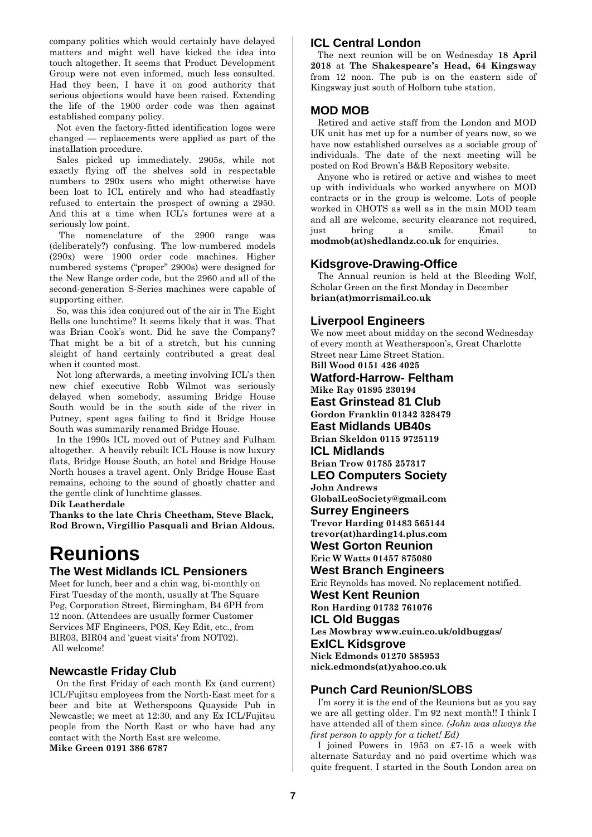company politics which would certainly have delayed matters and might well have kicked the idea into touch altogether. It seems that Product Development Group were not even informed, much less consulted. Had they been, I have it on good authority that serious objections would have been raised. Extending the life of the 1900 order code was then against established company policy.

Not even the factory-fitted identification logos were changed — replacements were applied as part of the installation procedure.

Sales picked up immediately. 2905s, while not exactly flying off the shelves sold in respectable numbers to 290x users who might otherwise have been lost to ICL entirely and who had steadfastly refused to entertain the prospect of owning a 2950. And this at a time when ICL's fortunes were at a seriously low point.

The nomenclature of the 2900 range was (deliberately?) confusing. The low-numbered models (290x) were 1900 order code machines. Higher numbered systems ("proper" 2900s) were designed for the New Range order code, but the 2960 and all of the second-generation S-Series machines were capable of supporting either.

So, was this idea conjured out of the air in The Eight Bells one lunchtime? It seems likely that it was. That was Brian Cook's wont. Did he save the Company? That might be a bit of a stretch, but his cunning sleight of hand certainly contributed a great deal when it counted most.

Not long afterwards, a meeting involving ICL's then new chief executive Robb Wilmot was seriously delayed when somebody, assuming Bridge House South would be in the south side of the river in Putney, spent ages failing to find it Bridge House South was summarily renamed Bridge House.

In the 1990s ICL moved out of Putney and Fulham altogether. A heavily rebuilt ICL House is now luxury flats, Bridge House South, an hotel and Bridge House North houses a travel agent. Only Bridge House East remains, echoing to the sound of ghostly chatter and the gentle clink of lunchtime glasses.

**Dik Leatherdale**

**Thanks to the late Chris Cheetham, Steve Black, Rod Brown, Virgillio Pasquali and Brian Aldous.** 

# **Reunions The West Midlands ICL Pensioners**

Meet for lunch, beer and a chin wag, bi-monthly on First Tuesday of the month, usually at The Square Peg, Corporation Street, Birmingham, B4 6PH from 12 noon. (Attendees are usually former Customer Services MF Engineers, POS, Key Edit, etc., from BIR03, BIR04 and 'guest visits' from NOT02). All welcome!

# **Newcastle Friday Club**

On the first Friday of each month Ex (and current) ICL/Fujitsu employees from the North-East meet for a beer and bite at Wetherspoons Quayside Pub in Newcastle; we meet at 12:30, and any Ex ICL/Fujitsu people from the North East or who have had any contact with the North East are welcome. **Mike Green 0191 386 6787**

# **ICL Central London**

The next reunion will be on Wednesday **18 April 2018** at **The Shakespeare's Head, 64 Kingsway** from 12 noon. The pub is on the eastern side of Kingsway just south of Holborn tube station.

# **MOD MOB**

Retired and active staff from the London and MOD UK unit has met up for a number of years now, so we have now established ourselves as a sociable group of individuals. The date of the next meeting will be posted on Rod Brown's B&B Repository website.

Anyone who is retired or active and wishes to meet up with individuals who worked anywhere on MOD contracts or in the group is welcome. Lots of people worked in CHOTS as well as in the main MOD team and all are welcome, security clearance not required, just bring a smile. Email to **[modmob\(at\)shedlandz.co.uk](mailto:modmob@shedlandz.co.uk)** for enquiries.

# **Kidsgrove-Drawing-Office**

The Annual reunion is held at the Bleeding Wolf, Scholar Green on the first Monday in December **[brian\(at\)morrismail.co.uk](mailto:brian@morrismail.co.uk)**

# **Liverpool Engineers**

We now meet about midday on the second Wednesday of every month at Weatherspoon's, Great Charlotte Street near Lime Street Station. **Bill Wood 0151 426 4025** 

**Watford-Harrow- Feltham Mike Ray 01895 230194 East Grinstead 81 Club Gordon Franklin 01342 328479 East Midlands UB40s Brian Skeldon 0115 9725119 ICL Midlands Brian Trow 01785 257317 LEO Computers Society John Andrews GlobalLeoSociety@gmail.com Surrey Engineers Trevor Harding 01483 565144 trevor(at)harding14.plus.com West Gorton Reunion Eric W Watts 01457 875080 West Branch Engineers** Eric Reynolds has moved. No replacement notified. **West Kent Reunion Ron Harding 01732 761076 ICL Old Buggas Les Mowbray www.cuin.co.uk/oldbuggas/ ExICL Kidsgrove Nick Edmonds 01270 585953 nick.edmonds(at)yahoo.co.uk**

# **Punch Card Reunion/SLOBS**

I'm sorry it is the end of the Reunions but as you say we are all getting older. I'm 92 next month!! I think I have attended all of them since. *(John was always the first person to apply for a ticket! Ed)*

I joined Powers in 1953 on £7-15 a week with alternate Saturday and no paid overtime which was quite frequent. I started in the South London area on